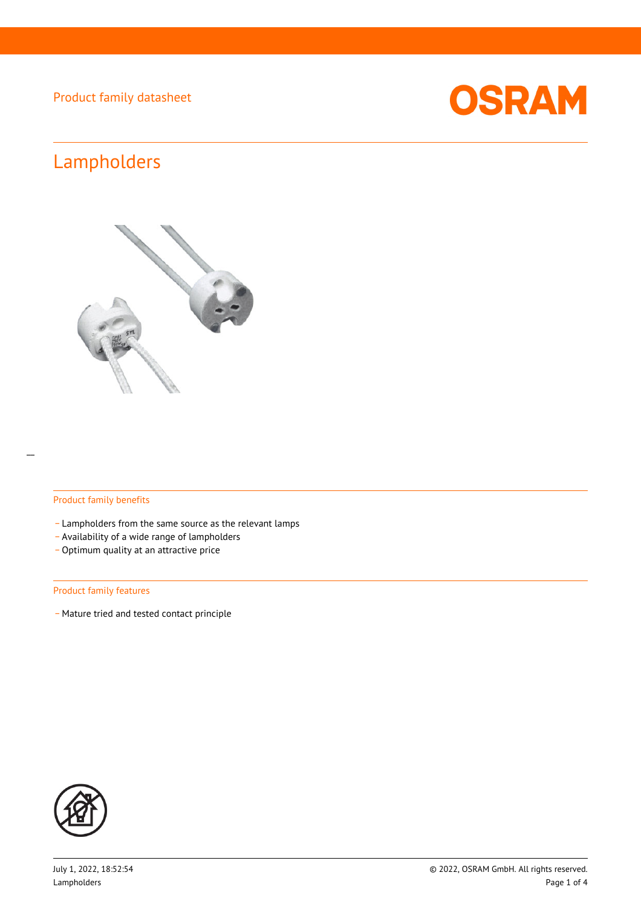

# Lampholders



### Product family benefits

- Lampholders from the same source as the relevant lamps
- \_ Availability of a wide range of lampholders
- Optimum quality at an attractive price

#### Product family features

- Mature tried and tested contact principle

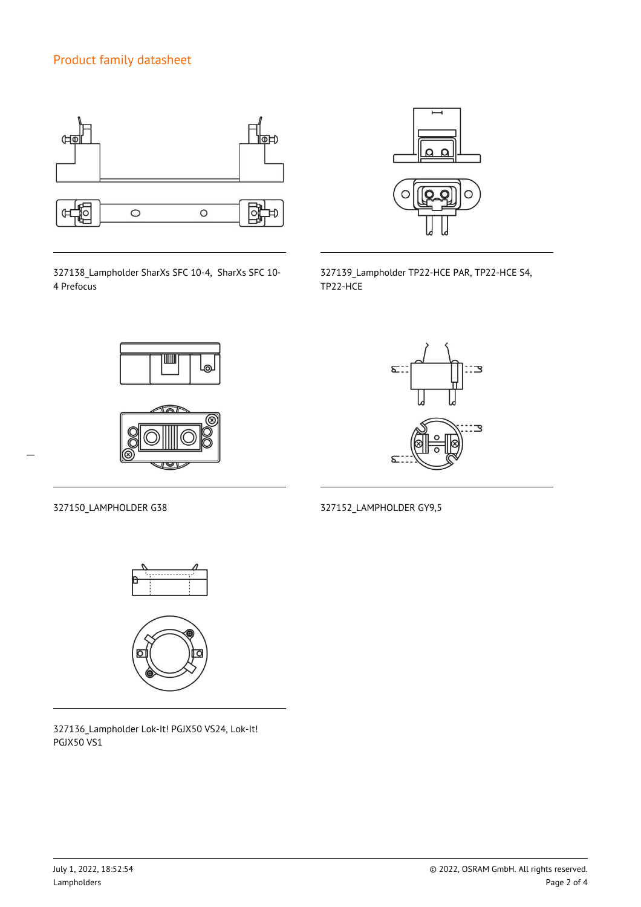

327138\_Lampholder SharXs SFC 10-4, SharXs SFC 10- 4 Prefocus



327139\_Lampholder TP22-HCE PAR, TP22-HCE S4, TP22-HCE





Σ. 3 З  $\mathbf{x}$ 

327150\_LAMPHOLDER G38 327152\_LAMPHOLDER GY9,5

 $\overline{a}$ 





327136\_Lampholder Lok-It! PGJX50 VS24, Lok-It! PGJX50 VS1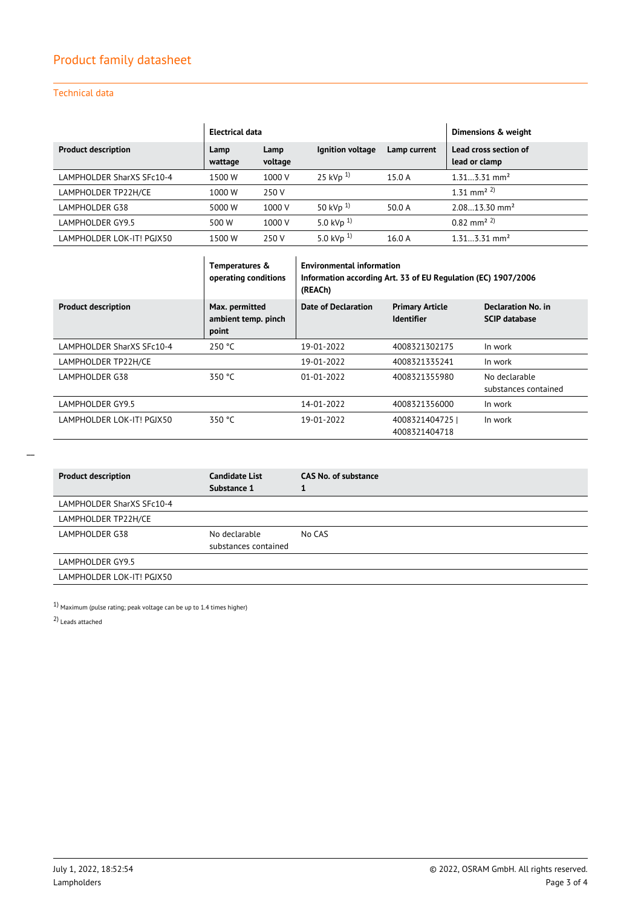### Technical data

|                            | <b>Electrical data</b> |                 |                  |              | Dimensions & weight                    |
|----------------------------|------------------------|-----------------|------------------|--------------|----------------------------------------|
| <b>Product description</b> | Lamp<br>wattage        | Lamp<br>voltage | Ignition voltage | Lamp current | Lead cross section of<br>lead or clamp |
| LAMPHOLDER SharXS SFc10-4  | 1500 W                 | 1000 V          | 25 kVp $^{1)}$   | 15.0 A       | $1.313.31$ mm <sup>2</sup>             |
| LAMPHOLDER TP22H/CE        | 1000 W                 | 250 V           |                  |              | 1 31 mm <sup>2 2)</sup>                |
| LAMPHOLDER G38             | 5000 W                 | 1000 V          | 50 kVp $^{1)}$   | 50.0 A       | $2.0813.30$ mm <sup>2</sup>            |
| LAMPHOLDER GY9.5           | 500 W                  | 1000 V          | 5.0 kVp $^{1)}$  |              | $(0.82 \text{ mm}^2)^2$                |
| LAMPHOLDER LOK-IT! PGJX50  | 1500 W                 | 250 V           | 5.0 kVp $^{1}$   | 16.0 A       | $1.313.31$ mm <sup>2</sup>             |

|                            | Temperatures &<br>operating conditions         | <b>Environmental information</b><br>Information according Art. 33 of EU Regulation (EC) 1907/2006<br>(REACh) |                                             |                                            |
|----------------------------|------------------------------------------------|--------------------------------------------------------------------------------------------------------------|---------------------------------------------|--------------------------------------------|
| <b>Product description</b> | Max. permitted<br>ambient temp. pinch<br>point | <b>Date of Declaration</b>                                                                                   | <b>Primary Article</b><br><b>Identifier</b> | Declaration No. in<br><b>SCIP database</b> |
| LAMPHOLDER SharXS SFc10-4  | 250 °C                                         | 19-01-2022                                                                                                   | 4008321302175                               | In work                                    |
| LAMPHOLDER TP22H/CE        |                                                | 19-01-2022                                                                                                   | 4008321335241                               | In work                                    |
| LAMPHOLDER G38             | 350 °C                                         | $01 - 01 - 2022$                                                                                             | 4008321355980                               | No declarable<br>substances contained      |
| LAMPHOLDER GY9.5           |                                                | 14-01-2022                                                                                                   | 4008321356000                               | In work                                    |
| LAMPHOLDER LOK-IT! PGIX50  | 350 °C                                         | 19-01-2022                                                                                                   | 4008321404725<br>4008321404718              | In work                                    |

| <b>Product description</b> | <b>Candidate List</b><br>Substance 1  | <b>CAS No. of substance</b> |
|----------------------------|---------------------------------------|-----------------------------|
| LAMPHOLDER SharXS SFc10-4  |                                       |                             |
| LAMPHOLDER TP22H/CE        |                                       |                             |
| LAMPHOLDER G38             | No declarable<br>substances contained | No CAS                      |
| LAMPHOLDER GY9.5           |                                       |                             |
| LAMPHOLDER LOK-IT! PGJX50  |                                       |                             |

 $1)$  Maximum (pulse rating; peak voltage can be up to  $1.4$  times higher)

2) Leads attached